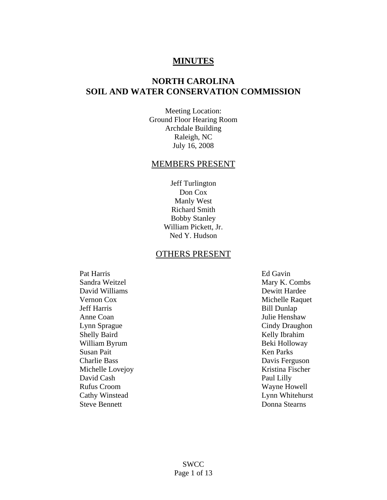## **MINUTES**

# **NORTH CAROLINA SOIL AND WATER CONSERVATION COMMISSION**

Meeting Location: Ground Floor Hearing Room Archdale Building Raleigh, NC July 16, 2008

### MEMBERS PRESENT

Jeff Turlington Don Cox Manly West Richard Smith Bobby Stanley William Pickett, Jr. Ned Y. Hudson

#### OTHERS PRESENT

Pat Harris Ed Gavin Sandra Weitzel Mary K. Combs David Williams Dewitt Hardee Jeff Harris Bill Dunlap Anne Coan Julie Henshaw Lynn Sprague Cindy Draughon Shelly Baird Kelly Ibrahim William Byrum Beki Holloway Susan Pait Ken Parks Charlie Bass Davis Ferguson Michelle Lovejoy **Kristina Fischer** David Cash Paul Lilly Rufus Croom Wayne Howell Cathy Winstead Lynn Whitehurst Steve Bennett Donna Stearns

Vernon Cox Michelle Raquet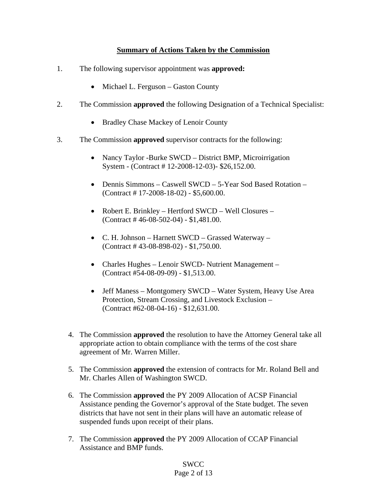### **Summary of Actions Taken by the Commission**

- 1. The following supervisor appointment was **approved:** 
	- Michael L. Ferguson Gaston County
- 2. The Commission **approved** the following Designation of a Technical Specialist:
	- Bradley Chase Mackey of Lenoir County
- 3. The Commission **approved** supervisor contracts for the following:
	- Nancy Taylor -Burke SWCD District BMP, Microirrigation System - (Contract # 12-2008-12-03)- \$26,152.00.
	- Dennis Simmons Caswell SWCD 5-Year Sod Based Rotation (Contract # 17-2008-18-02) - \$5,600.00.
	- Robert E. Brinkley Hertford SWCD Well Closures (Contract # 46-08-502-04) - \$1,481.00.
	- C. H. Johnson Harnett SWCD Grassed Waterway (Contract # 43-08-898-02) - \$1,750.00.
	- Charles Hughes Lenoir SWCD- Nutrient Management (Contract #54-08-09-09) - \$1,513.00.
	- Jeff Maness Montgomery SWCD Water System, Heavy Use Area Protection, Stream Crossing, and Livestock Exclusion – (Contract #62-08-04-16) - \$12,631.00.
	- 4. The Commission **approved** the resolution to have the Attorney General take all appropriate action to obtain compliance with the terms of the cost share agreement of Mr. Warren Miller.
	- 5. The Commission **approved** the extension of contracts for Mr. Roland Bell and Mr. Charles Allen of Washington SWCD.
	- 6. The Commission **approved** the PY 2009 Allocation of ACSP Financial Assistance pending the Governor's approval of the State budget. The seven districts that have not sent in their plans will have an automatic release of suspended funds upon receipt of their plans.
	- 7. The Commission **approved** the PY 2009 Allocation of CCAP Financial Assistance and BMP funds.

#### SWCC Page 2 of 13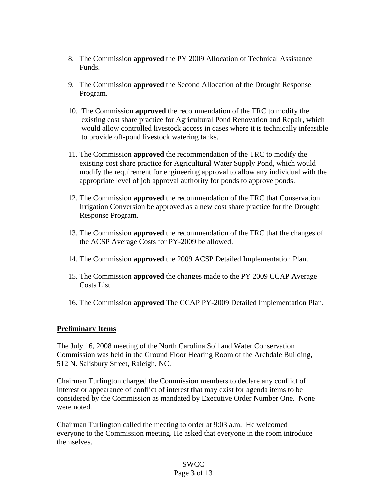- 8. The Commission **approved** the PY 2009 Allocation of Technical Assistance Funds.
- 9. The Commission **approved** the Second Allocation of the Drought Response Program.
- 10. The Commission **approved** the recommendation of the TRC to modify the existing cost share practice for Agricultural Pond Renovation and Repair, which would allow controlled livestock access in cases where it is technically infeasible to provide off-pond livestock watering tanks.
- 11. The Commission **approved** the recommendation of the TRC to modify the existing cost share practice for Agricultural Water Supply Pond, which would modify the requirement for engineering approval to allow any individual with the appropriate level of job approval authority for ponds to approve ponds.
- 12. The Commission **approved** the recommendation of the TRC that Conservation Irrigation Conversion be approved as a new cost share practice for the Drought Response Program.
- 13. The Commission **approved** the recommendation of the TRC that the changes of the ACSP Average Costs for PY-2009 be allowed.
- 14. The Commission **approved** the 2009 ACSP Detailed Implementation Plan.
- 15. The Commission **approved** the changes made to the PY 2009 CCAP Average Costs List.
- 16. The Commission **approved** The CCAP PY-2009 Detailed Implementation Plan.

#### **Preliminary Items**

The July 16, 2008 meeting of the North Carolina Soil and Water Conservation Commission was held in the Ground Floor Hearing Room of the Archdale Building, 512 N. Salisbury Street, Raleigh, NC.

Chairman Turlington charged the Commission members to declare any conflict of interest or appearance of conflict of interest that may exist for agenda items to be considered by the Commission as mandated by Executive Order Number One. None were noted.

Chairman Turlington called the meeting to order at 9:03 a.m. He welcomed everyone to the Commission meeting. He asked that everyone in the room introduce themselves.

### **SWCC** Page 3 of 13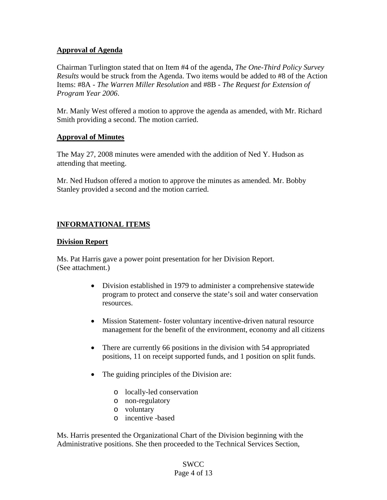### **Approval of Agenda**

Chairman Turlington stated that on Item #4 of the agenda, *The One-Third Policy Survey Results* would be struck from the Agenda. Two items would be added to #8 of the Action Items: #8A - *The Warren Miller Resolution* and #8B - *The Request for Extension of Program Year 2006*.

Mr. Manly West offered a motion to approve the agenda as amended, with Mr. Richard Smith providing a second. The motion carried.

### **Approval of Minutes**

The May 27, 2008 minutes were amended with the addition of Ned Y. Hudson as attending that meeting.

Mr. Ned Hudson offered a motion to approve the minutes as amended. Mr. Bobby Stanley provided a second and the motion carried.

### **INFORMATIONAL ITEMS**

### **Division Report**

Ms. Pat Harris gave a power point presentation for her Division Report. (See attachment.)

- Division established in 1979 to administer a comprehensive statewide program to protect and conserve the state's soil and water conservation resources.
- Mission Statement-foster voluntary incentive-driven natural resource management for the benefit of the environment, economy and all citizens
- There are currently 66 positions in the division with 54 appropriated positions, 11 on receipt supported funds, and 1 position on split funds.
- The guiding principles of the Division are:
	- o locally-led conservation
	- o non-regulatory
	- o voluntary
	- o incentive -based

Ms. Harris presented the Organizational Chart of the Division beginning with the Administrative positions. She then proceeded to the Technical Services Section,

#### SWCC Page 4 of 13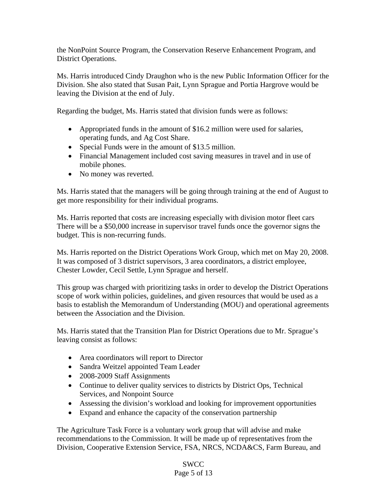the NonPoint Source Program, the Conservation Reserve Enhancement Program, and District Operations.

Ms. Harris introduced Cindy Draughon who is the new Public Information Officer for the Division. She also stated that Susan Pait, Lynn Sprague and Portia Hargrove would be leaving the Division at the end of July.

Regarding the budget, Ms. Harris stated that division funds were as follows:

- Appropriated funds in the amount of \$16.2 million were used for salaries, operating funds, and Ag Cost Share.
- Special Funds were in the amount of \$13.5 million.
- Financial Management included cost saving measures in travel and in use of mobile phones.
- No money was reverted.

Ms. Harris stated that the managers will be going through training at the end of August to get more responsibility for their individual programs.

Ms. Harris reported that costs are increasing especially with division motor fleet cars There will be a \$50,000 increase in supervisor travel funds once the governor signs the budget. This is non-recurring funds.

Ms. Harris reported on the District Operations Work Group, which met on May 20, 2008. It was composed of 3 district supervisors, 3 area coordinators, a district employee, Chester Lowder, Cecil Settle, Lynn Sprague and herself.

This group was charged with prioritizing tasks in order to develop the District Operations scope of work within policies, guidelines, and given resources that would be used as a basis to establish the Memorandum of Understanding (MOU) and operational agreements between the Association and the Division.

Ms. Harris stated that the Transition Plan for District Operations due to Mr. Sprague's leaving consist as follows:

- Area coordinators will report to Director
- Sandra Weitzel appointed Team Leader
- 2008-2009 Staff Assignments
- Continue to deliver quality services to districts by District Ops, Technical Services, and Nonpoint Source
- Assessing the division's workload and looking for improvement opportunities
- Expand and enhance the capacity of the conservation partnership

The Agriculture Task Force is a voluntary work group that will advise and make recommendations to the Commission. It will be made up of representatives from the Division, Cooperative Extension Service, FSA, NRCS, NCDA&CS, Farm Bureau, and

## SWCC Page 5 of 13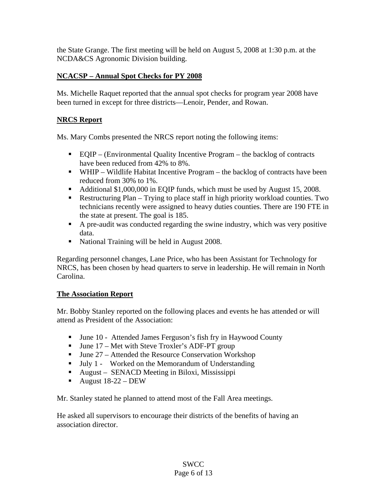the State Grange. The first meeting will be held on August 5, 2008 at 1:30 p.m. at the NCDA&CS Agronomic Division building.

## **NCACSP – Annual Spot Checks for PY 2008**

Ms. Michelle Raquet reported that the annual spot checks for program year 2008 have been turned in except for three districts—Lenoir, Pender, and Rowan.

### **NRCS Report**

Ms. Mary Combs presented the NRCS report noting the following items:

- EQIP (Environmental Quality Incentive Program the backlog of contracts have been reduced from 42% to 8%.
- $\blacksquare$  WHIP Wildlife Habitat Incentive Program the backlog of contracts have been reduced from 30% to 1%.
- Additional \$1,000,000 in EQIP funds, which must be used by August 15, 2008.
- Restructuring Plan Trying to place staff in high priority workload counties. Two technicians recently were assigned to heavy duties counties. There are 190 FTE in the state at present. The goal is 185.
- A pre-audit was conducted regarding the swine industry, which was very positive data.
- National Training will be held in August 2008.

Regarding personnel changes, Lane Price, who has been Assistant for Technology for NRCS, has been chosen by head quarters to serve in leadership. He will remain in North Carolina.

### **The Association Report**

Mr. Bobby Stanley reported on the following places and events he has attended or will attend as President of the Association:

- June 10 Attended James Ferguson's fish fry in Haywood County
- $\blacksquare$  June 17 Met with Steve Troxler's ADF-PT group
- $\blacksquare$  June 27 Attended the Resource Conservation Workshop
- Ully 1 Worked on the Memorandum of Understanding
- August SENACD Meeting in Biloxi, Mississippi
- August  $18-22 DEW$

Mr. Stanley stated he planned to attend most of the Fall Area meetings.

He asked all supervisors to encourage their districts of the benefits of having an association director.

> SWCC Page 6 of 13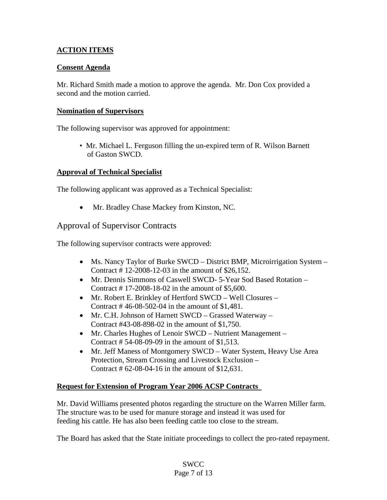## **ACTION ITEMS**

### **Consent Agenda**

Mr. Richard Smith made a motion to approve the agenda. Mr. Don Cox provided a second and the motion carried.

### **Nomination of Supervisors**

The following supervisor was approved for appointment:

 • Mr. Michael L. Ferguson filling the un-expired term of R. Wilson Barnett of Gaston SWCD.

### **Approval of Technical Specialist**

The following applicant was approved as a Technical Specialist:

• Mr. Bradley Chase Mackey from Kinston, NC.

## Approval of Supervisor Contracts

The following supervisor contracts were approved:

- Ms. Nancy Taylor of Burke SWCD District BMP, Microirrigation System Contract # 12-2008-12-03 in the amount of \$26,152.
- Mr. Dennis Simmons of Caswell SWCD- 5-Year Sod Based Rotation Contract # 17-2008-18-02 in the amount of \$5,600.
- Mr. Robert E. Brinkley of Hertford SWCD Well Closures Contract # 46-08-502-04 in the amount of \$1,481.
- Mr. C.H. Johnson of Harnett SWCD Grassed Waterway Contract #43-08-898-02 in the amount of \$1,750.
- Mr. Charles Hughes of Lenoir SWCD Nutrient Management Contract # 54-08-09-09 in the amount of \$1,513.
- Mr. Jeff Maness of Montgomery SWCD Water System, Heavy Use Area Protection, Stream Crossing and Livestock Exclusion – Contract # 62-08-04-16 in the amount of \$12,631.

#### **Request for Extension of Program Year 2006 ACSP Contracts**

Mr. David Williams presented photos regarding the structure on the Warren Miller farm. The structure was to be used for manure storage and instead it was used for feeding his cattle. He has also been feeding cattle too close to the stream.

The Board has asked that the State initiate proceedings to collect the pro-rated repayment.

### **SWCC** Page 7 of 13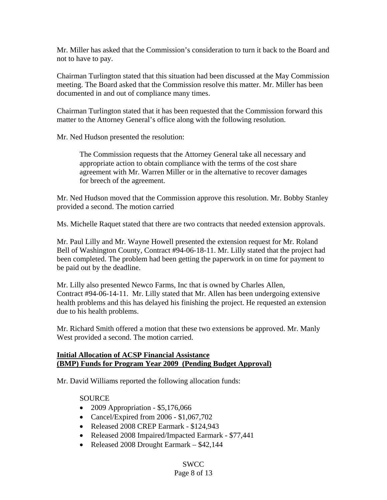Mr. Miller has asked that the Commission's consideration to turn it back to the Board and not to have to pay.

Chairman Turlington stated that this situation had been discussed at the May Commission meeting. The Board asked that the Commission resolve this matter. Mr. Miller has been documented in and out of compliance many times.

Chairman Turlington stated that it has been requested that the Commission forward this matter to the Attorney General's office along with the following resolution.

Mr. Ned Hudson presented the resolution:

The Commission requests that the Attorney General take all necessary and appropriate action to obtain compliance with the terms of the cost share agreement with Mr. Warren Miller or in the alternative to recover damages for breech of the agreement.

Mr. Ned Hudson moved that the Commission approve this resolution. Mr. Bobby Stanley provided a second. The motion carried

Ms. Michelle Raquet stated that there are two contracts that needed extension approvals.

Mr. Paul Lilly and Mr. Wayne Howell presented the extension request for Mr. Roland Bell of Washington County, Contract #94-06-18-11. Mr. Lilly stated that the project had been completed. The problem had been getting the paperwork in on time for payment to be paid out by the deadline.

Mr. Lilly also presented Newco Farms, Inc that is owned by Charles Allen, Contract #94-06-14-11. Mr. Lilly stated that Mr. Allen has been undergoing extensive health problems and this has delayed his finishing the project. He requested an extension due to his health problems.

Mr. Richard Smith offered a motion that these two extensions be approved. Mr. Manly West provided a second. The motion carried.

#### **Initial Allocation of ACSP Financial Assistance (BMP) Funds for Program Year 2009 (Pending Budget Approval)**

Mr. David Williams reported the following allocation funds:

### SOURCE

- 2009 Appropriation \$5,176,066
- Cancel/Expired from 2006 \$1,067,702
- Released 2008 CREP Earmark \$124,943
- Released 2008 Impaired/Impacted Earmark \$77,441
- Released 2008 Drought Earmark \$42,144

# SWCC

# Page 8 of 13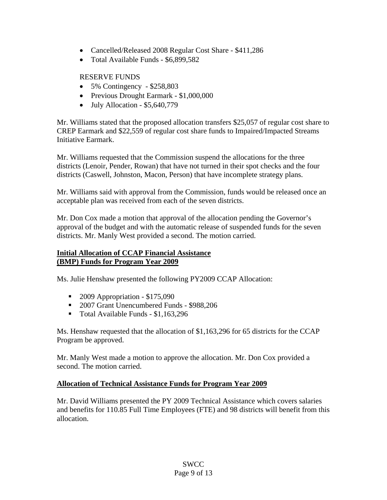- Cancelled/Released 2008 Regular Cost Share \$411,286
- Total Available Funds \$6,899,582

### RESERVE FUNDS

- 5% Contingency \$258,803
- Previous Drought Earmark \$1,000,000
- July Allocation  $$5,640,779$

Mr. Williams stated that the proposed allocation transfers \$25,057 of regular cost share to CREP Earmark and \$22,559 of regular cost share funds to Impaired/Impacted Streams Initiative Earmark.

Mr. Williams requested that the Commission suspend the allocations for the three districts (Lenoir, Pender, Rowan) that have not turned in their spot checks and the four districts (Caswell, Johnston, Macon, Person) that have incomplete strategy plans.

Mr. Williams said with approval from the Commission, funds would be released once an acceptable plan was received from each of the seven districts.

Mr. Don Cox made a motion that approval of the allocation pending the Governor's approval of the budget and with the automatic release of suspended funds for the seven districts. Mr. Manly West provided a second. The motion carried.

### **Initial Allocation of CCAP Financial Assistance (BMP) Funds for Program Year 2009**

Ms. Julie Henshaw presented the following PY2009 CCAP Allocation:

- 2009 Appropriation \$175,090
- <sup>2007</sup> Grant Unencumbered Funds \$988,206
- Total Available Funds \$1,163,296

Ms. Henshaw requested that the allocation of \$1,163,296 for 65 districts for the CCAP Program be approved.

Mr. Manly West made a motion to approve the allocation. Mr. Don Cox provided a second. The motion carried.

### **Allocation of Technical Assistance Funds for Program Year 2009**

Mr. David Williams presented the PY 2009 Technical Assistance which covers salaries and benefits for 110.85 Full Time Employees (FTE) and 98 districts will benefit from this allocation.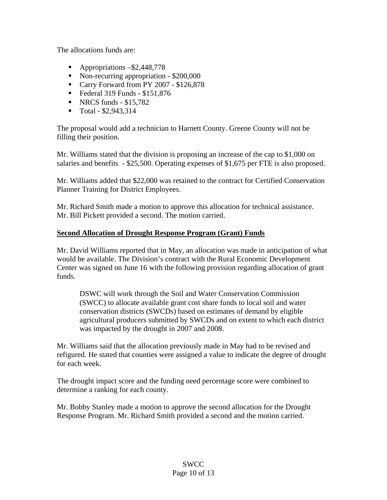The allocations funds are:

- Appropriations  $-$ \$2,448,778
- Non-recurring appropriation \$200,000
- Carry Forward from PY 2007 \$126,878
- Federal 319 Funds  $$151,876$
- NRCS funds  $$15,782$
- $\blacksquare$  Total \$2,943,314

The proposal would add a technician to Harnett County. Greene County will not be filling their position.

Mr. Williams stated that the division is proposing an increase of the cap to \$1,000 on salaries and benefits - \$25,500. Operating expenses of \$1,675 per FTE is also proposed.

Mr. Williams added that \$22,000 was retained to the contract for Certified Conservation Planner Training for District Employees.

Mr. Richard Smith made a motion to approve this allocation for technical assistance. Mr. Bill Pickett provided a second. The motion carried.

### **Second Allocation of Drought Response Program (Grant) Funds**

Mr. David Williams reported that in May, an allocation was made in anticipation of what would be available. The Division's contract with the Rural Economic Development Center was signed on June 16 with the following provision regarding allocation of grant funds.

 DSWC will work through the Soil and Water Conservation Commission (SWCC) to allocate available grant cost share funds to local soil and water conservation districts (SWCDs) based on estimates of demand by eligible agricultural producers submitted by SWCDs and on extent to which each district was impacted by the drought in 2007 and 2008.

Mr. Williams said that the allocation previously made in May had to be revised and refigured. He stated that counties were assigned a value to indicate the degree of drought for each week.

The drought impact score and the funding need percentage score were combined to determine a ranking for each county.

Mr. Bobby Stanley made a motion to approve the second allocation for the Drought Response Program. Mr. Richard Smith provided a second and the motion carried.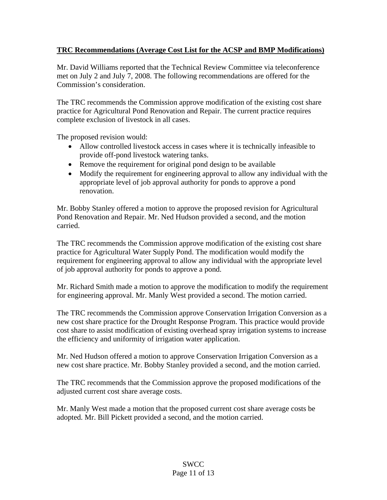## **TRC Recommendations (Average Cost List for the ACSP and BMP Modifications)**

Mr. David Williams reported that the Technical Review Committee via teleconference met on July 2 and July 7, 2008. The following recommendations are offered for the Commission's consideration.

The TRC recommends the Commission approve modification of the existing cost share practice for Agricultural Pond Renovation and Repair. The current practice requires complete exclusion of livestock in all cases.

The proposed revision would:

- Allow controlled livestock access in cases where it is technically infeasible to provide off-pond livestock watering tanks.
- Remove the requirement for original pond design to be available
- Modify the requirement for engineering approval to allow any individual with the appropriate level of job approval authority for ponds to approve a pond renovation.

Mr. Bobby Stanley offered a motion to approve the proposed revision for Agricultural Pond Renovation and Repair. Mr. Ned Hudson provided a second, and the motion carried.

The TRC recommends the Commission approve modification of the existing cost share practice for Agricultural Water Supply Pond. The modification would modify the requirement for engineering approval to allow any individual with the appropriate level of job approval authority for ponds to approve a pond.

Mr. Richard Smith made a motion to approve the modification to modify the requirement for engineering approval. Mr. Manly West provided a second. The motion carried.

The TRC recommends the Commission approve Conservation Irrigation Conversion as a new cost share practice for the Drought Response Program. This practice would provide cost share to assist modification of existing overhead spray irrigation systems to increase the efficiency and uniformity of irrigation water application.

Mr. Ned Hudson offered a motion to approve Conservation Irrigation Conversion as a new cost share practice. Mr. Bobby Stanley provided a second, and the motion carried.

The TRC recommends that the Commission approve the proposed modifications of the adjusted current cost share average costs.

Mr. Manly West made a motion that the proposed current cost share average costs be adopted. Mr. Bill Pickett provided a second, and the motion carried.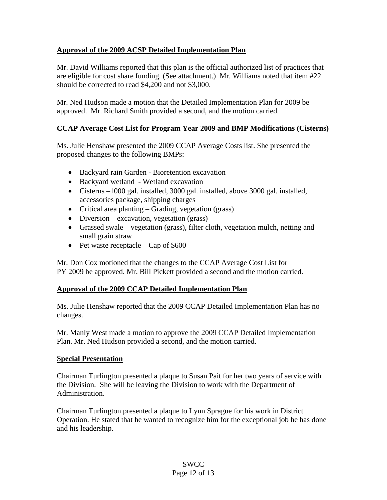## **Approval of the 2009 ACSP Detailed Implementation Plan**

Mr. David Williams reported that this plan is the official authorized list of practices that are eligible for cost share funding. (See attachment.) Mr. Williams noted that item #22 should be corrected to read \$4,200 and not \$3,000.

Mr. Ned Hudson made a motion that the Detailed Implementation Plan for 2009 be approved. Mr. Richard Smith provided a second, and the motion carried.

## **CCAP Average Cost List for Program Year 2009 and BMP Modifications (Cisterns)**

Ms. Julie Henshaw presented the 2009 CCAP Average Costs list. She presented the proposed changes to the following BMPs:

- Backyard rain Garden Bioretention excavation
- Backyard wetland Wetland excavation
- Cisterns –1000 gal. installed, 3000 gal. installed, above 3000 gal. installed, accessories package, shipping charges
- Critical area planting Grading, vegetation (grass)
- Diversion excavation, vegetation (grass)
- Grassed swale vegetation (grass), filter cloth, vegetation mulch, netting and small grain straw
- Pet waste receptacle Cap of  $$600$

Mr. Don Cox motioned that the changes to the CCAP Average Cost List for PY 2009 be approved. Mr. Bill Pickett provided a second and the motion carried.

### **Approval of the 2009 CCAP Detailed Implementation Plan**

Ms. Julie Henshaw reported that the 2009 CCAP Detailed Implementation Plan has no changes.

Mr. Manly West made a motion to approve the 2009 CCAP Detailed Implementation Plan. Mr. Ned Hudson provided a second, and the motion carried.

### **Special Presentation**

Chairman Turlington presented a plaque to Susan Pait for her two years of service with the Division. She will be leaving the Division to work with the Department of Administration.

Chairman Turlington presented a plaque to Lynn Sprague for his work in District Operation. He stated that he wanted to recognize him for the exceptional job he has done and his leadership.